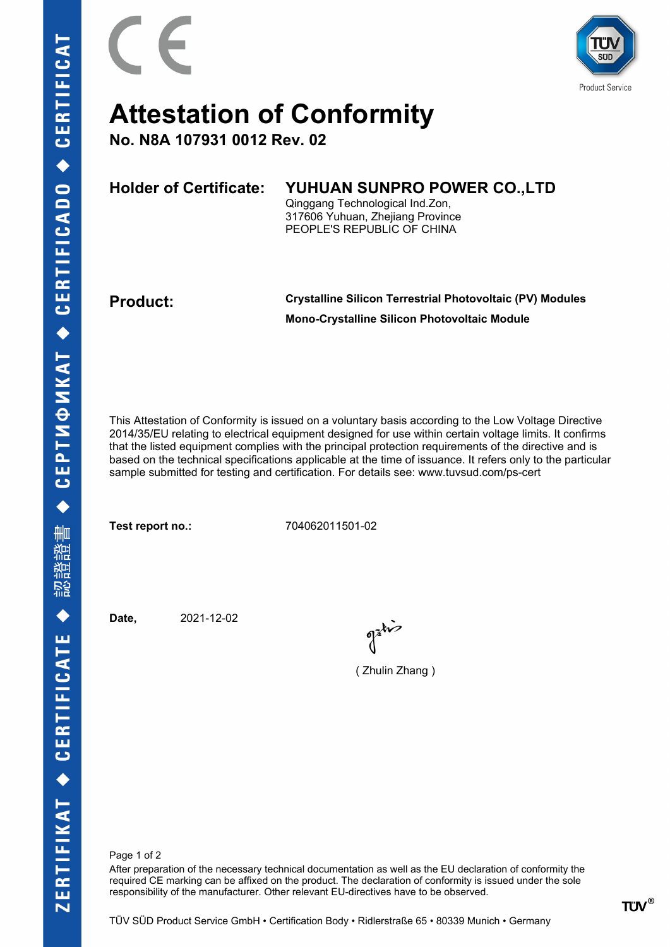

## **Attestation of Conformity**

**No. N8A 107931 0012 Rev. 02**

| <b>Holder of Certificate:</b> | YUHUAN SUNPRO POWER CO., LTD     |
|-------------------------------|----------------------------------|
|                               | Qinggang Technological Ind.Zon,  |
|                               | 317606 Yuhuan, Zhejiang Province |
|                               | PEOPLE'S REPUBLIC OF CHINA       |
|                               |                                  |

**Product: Crystalline Silicon Terrestrial Photovoltaic (PV) Modules Mono-Crystalline Silicon Photovoltaic Module**

This Attestation of Conformity is issued on a voluntary basis according to the Low Voltage Directive 2014/35/EU relating to electrical equipment designed for use within certain voltage limits. It confirms that the listed equipment complies with the principal protection requirements of the directive and is based on the technical specifications applicable at the time of issuance. It refers only to the particular sample submitted for testing and certification. For details see: www.tuvsud.com/ps-cert

**Test report no.:** 704062011501-02

**Date,** 2021-12-02

( Zhulin Zhang )

Page 1 of 2

After preparation of the necessary technical documentation as well as the EU declaration of conformity the required CE marking can be affixed on the product. The declaration of conformity is issued under the sole responsibility of the manufacturer. Other relevant EU-directives have to be observed.